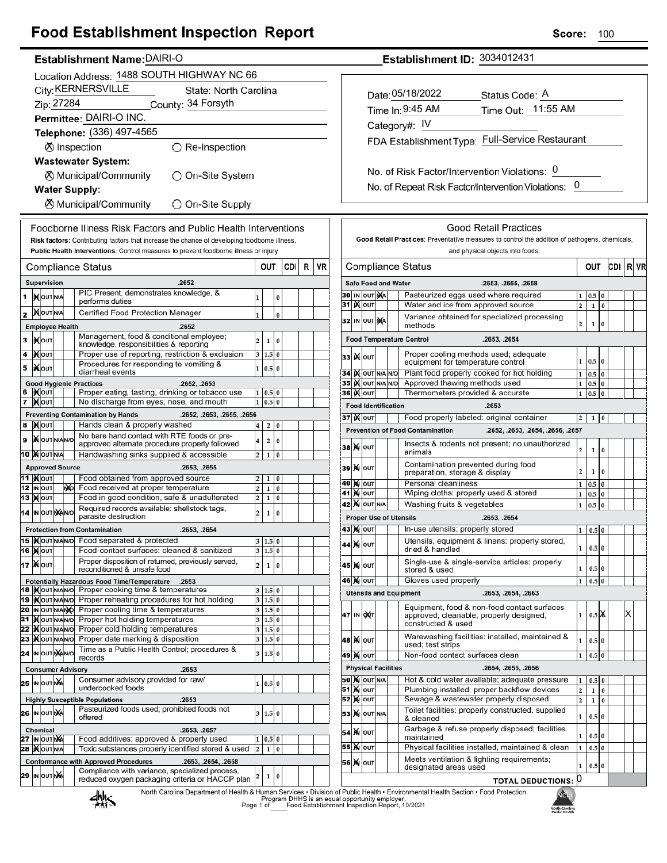## **Food Establishment Inspection Report**

#### Establishment Name: DAIRI-O

|                                                                            |                                                                          |                                     |  |    | $r_{\alpha}$ , $r_{\alpha}$ , $r_{\alpha}$ , $r_{\alpha}$ , $r_{\alpha}$ , $r_{\alpha}$ , $r_{\alpha}$ , $r_{\alpha}$ , $r_{\alpha}$ , $r_{\alpha}$ , $r_{\alpha}$ , $r_{\alpha}$ , $r_{\alpha}$ , $r_{\alpha}$ , $r_{\alpha}$ , $r_{\alpha}$ , $r_{\alpha}$ , $r_{\alpha}$ , $r_{\alpha}$ , $r_{\alpha}$ , $r_{\alpha}$ , $r_{\alpha}$ , $r_{\alpha}$ , $r_{\alpha}$ , $r_{\alpha$ |                              |            |               |     |   |    |  |  |  |
|----------------------------------------------------------------------------|--------------------------------------------------------------------------|-------------------------------------|--|----|-------------------------------------------------------------------------------------------------------------------------------------------------------------------------------------------------------------------------------------------------------------------------------------------------------------------------------------------------------------------------------------|------------------------------|------------|---------------|-----|---|----|--|--|--|
|                                                                            |                                                                          |                                     |  |    | Location Address: 1488 SOUTH HIGHWAY NC 66                                                                                                                                                                                                                                                                                                                                          |                              |            |               |     |   |    |  |  |  |
|                                                                            | City: KERNERSVILLE<br>State: North Carolina                              |                                     |  |    |                                                                                                                                                                                                                                                                                                                                                                                     |                              |            |               |     |   |    |  |  |  |
| Zip: 27284<br>County: 34 Forsyth                                           |                                                                          |                                     |  |    |                                                                                                                                                                                                                                                                                                                                                                                     |                              |            |               |     |   |    |  |  |  |
|                                                                            |                                                                          |                                     |  |    | Permittee: DAIRI-O INC.                                                                                                                                                                                                                                                                                                                                                             |                              |            |               |     |   |    |  |  |  |
|                                                                            |                                                                          |                                     |  |    | Telephone: (336) 497-4565                                                                                                                                                                                                                                                                                                                                                           |                              |            |               |     |   |    |  |  |  |
|                                                                            |                                                                          |                                     |  |    |                                                                                                                                                                                                                                                                                                                                                                                     |                              |            |               |     |   |    |  |  |  |
|                                                                            |                                                                          |                                     |  |    | <b>Ø</b> Inspection<br>$\bigcirc$ Re-Inspection                                                                                                                                                                                                                                                                                                                                     |                              |            |               |     |   |    |  |  |  |
|                                                                            |                                                                          |                                     |  |    | <b>Wastewater System:</b>                                                                                                                                                                                                                                                                                                                                                           |                              |            |               |     |   |    |  |  |  |
|                                                                            |                                                                          |                                     |  |    | ⊗ Municipal/Community<br>つ On-Site System                                                                                                                                                                                                                                                                                                                                           |                              |            |               |     |   |    |  |  |  |
|                                                                            |                                                                          |                                     |  |    | <b>Water Supply:</b>                                                                                                                                                                                                                                                                                                                                                                |                              |            |               |     |   |    |  |  |  |
|                                                                            |                                                                          |                                     |  |    | <b><math>\oslash</math> Municipal/Community</b><br>◯ On-Site Supply                                                                                                                                                                                                                                                                                                                 |                              |            |               |     |   |    |  |  |  |
|                                                                            |                                                                          |                                     |  |    | Foodborne Illness Risk Factors and Public Health Interventions                                                                                                                                                                                                                                                                                                                      |                              |            |               |     |   |    |  |  |  |
|                                                                            |                                                                          |                                     |  |    | Risk factors: Contributing factors that increase the chance of developing foodborne illness.                                                                                                                                                                                                                                                                                        |                              |            |               |     |   |    |  |  |  |
|                                                                            |                                                                          |                                     |  |    | Public Health Interventions: Control measures to prevent foodborne illness or injury                                                                                                                                                                                                                                                                                                |                              |            |               |     |   |    |  |  |  |
|                                                                            |                                                                          |                                     |  |    | Compliance Status                                                                                                                                                                                                                                                                                                                                                                   |                              | out        |               | CDI | R | VF |  |  |  |
|                                                                            |                                                                          | <b>Supervision</b>                  |  |    | .2652                                                                                                                                                                                                                                                                                                                                                                               |                              |            |               |     |   |    |  |  |  |
|                                                                            |                                                                          |                                     |  |    | PIC Present, demonstrates knowledge, &                                                                                                                                                                                                                                                                                                                                              |                              |            |               |     |   |    |  |  |  |
| 1                                                                          |                                                                          | IN OUT N/A                          |  |    | performs duties                                                                                                                                                                                                                                                                                                                                                                     | 1                            |            | 0             |     |   |    |  |  |  |
| 2                                                                          |                                                                          | <b>MOUTNA</b>                       |  |    | Certified Food Protection Manager                                                                                                                                                                                                                                                                                                                                                   | 1                            |            | 0             |     |   |    |  |  |  |
|                                                                            |                                                                          | <b>Employee Health</b>              |  |    | .2652                                                                                                                                                                                                                                                                                                                                                                               |                              |            |               |     |   |    |  |  |  |
| з                                                                          |                                                                          | l)X∣ou⊤                             |  |    | Management, food & conditional employee;<br>knowledge, responsibilities & reporting                                                                                                                                                                                                                                                                                                 | 2                            | 1          | 0             |     |   |    |  |  |  |
| 4                                                                          |                                                                          | <b>KOUT</b>                         |  |    | Proper use of reporting, restriction & exclusion                                                                                                                                                                                                                                                                                                                                    | 3                            | 1.5        | $\bf{0}$      |     |   |    |  |  |  |
| 5                                                                          |                                                                          | <b>KOUT</b>                         |  |    | Procedures for responding to vomiting &<br>diarrheal events                                                                                                                                                                                                                                                                                                                         | $\mathbf{1}$                 | 0.5        | $\bf{0}$      |     |   |    |  |  |  |
|                                                                            |                                                                          |                                     |  |    | <b>Good Hygienic Practices</b><br>.2652, .2653                                                                                                                                                                                                                                                                                                                                      |                              |            |               |     |   |    |  |  |  |
| 6                                                                          |                                                                          | IX OUT                              |  |    | Proper eating, tasting, drinking or tobacco use                                                                                                                                                                                                                                                                                                                                     | 1                            | 0.5        | 0             |     |   |    |  |  |  |
| 7                                                                          | No discharge from eyes, nose, and mouth<br>0.5<br>1<br>0<br><b>X</b> OUT |                                     |  |    |                                                                                                                                                                                                                                                                                                                                                                                     |                              |            |               |     |   |    |  |  |  |
|                                                                            |                                                                          |                                     |  |    | <b>Preventing Contamination by Hands</b><br>.2652, .2653, .2655, .2656                                                                                                                                                                                                                                                                                                              |                              |            |               |     |   |    |  |  |  |
| 8                                                                          |                                                                          | <b>)∢</b>  оυт                      |  |    | Hands clean & properly washed<br>No bare hand contact with RTE foods or pre-                                                                                                                                                                                                                                                                                                        | 4                            | 2          | 0             |     |   |    |  |  |  |
| 9                                                                          |                                                                          | <b>X</b> OUTNANO                    |  |    | approved alternate procedure properly followed                                                                                                                                                                                                                                                                                                                                      | 4                            | 2          | 0             |     |   |    |  |  |  |
| 10 MOUTNA<br>Handwashing sinks supplied & accessible<br>2<br>$\bf{0}$<br>1 |                                                                          |                                     |  |    |                                                                                                                                                                                                                                                                                                                                                                                     |                              |            |               |     |   |    |  |  |  |
|                                                                            |                                                                          | <b>Approved Source</b>              |  |    | .2653, .2655                                                                                                                                                                                                                                                                                                                                                                        |                              |            |               |     |   |    |  |  |  |
| 11                                                                         |                                                                          | <b>KOUT</b><br>12 IN OUT            |  | ŊЮ | Food obtained from approved source<br>Food received at proper temperature                                                                                                                                                                                                                                                                                                           | 2<br>$\overline{\mathbf{c}}$ | 1<br>1     | 0<br>0        |     |   |    |  |  |  |
|                                                                            |                                                                          | <b>13  ) о</b> лт                   |  |    | Food in good condition, safe & unadulterated                                                                                                                                                                                                                                                                                                                                        | 2                            | 1          | 0             |     |   |    |  |  |  |
|                                                                            |                                                                          | 14 IN OUT NANO                      |  |    | Required records available: shellstock tags,                                                                                                                                                                                                                                                                                                                                        | $\overline{\mathbf{c}}$      | 1          | 0             |     |   |    |  |  |  |
|                                                                            |                                                                          |                                     |  |    | parasite destruction                                                                                                                                                                                                                                                                                                                                                                |                              |            |               |     |   |    |  |  |  |
|                                                                            |                                                                          |                                     |  |    | <b>Protection from Contamination</b><br>.2653, .2654<br>15 Xout NAN O Food separated & protected                                                                                                                                                                                                                                                                                    |                              | 1.5        |               |     |   |    |  |  |  |
|                                                                            |                                                                          | 16 <b>Mout</b>                      |  |    | Food-contact surfaces: cleaned & sanitized                                                                                                                                                                                                                                                                                                                                          |                              | 3 1.5 0    |               |     |   |    |  |  |  |
|                                                                            |                                                                          | 17   Nout                           |  |    | Proper disposition of returned, previously served,                                                                                                                                                                                                                                                                                                                                  | 2                            | 1          | 0             |     |   |    |  |  |  |
|                                                                            |                                                                          |                                     |  |    | reconditioned & unsafe food<br>Potentially Hazardous Food Time/Temperature<br>.2653                                                                                                                                                                                                                                                                                                 |                              |            |               |     |   |    |  |  |  |
|                                                                            |                                                                          | 18  IX OUT N/AN/O                   |  |    | Proper cooking time & temperatures                                                                                                                                                                                                                                                                                                                                                  | 3                            | 1.5        | 0             |     |   |    |  |  |  |
|                                                                            |                                                                          | 19  i)(out n/an/o                   |  |    | Proper reheating procedures for hot holding                                                                                                                                                                                                                                                                                                                                         | 3                            | 1.5        | $\bf{0}$      |     |   |    |  |  |  |
| 21                                                                         |                                                                          | 20 IN OUT N/ANO<br><b>KOUTNANO</b>  |  |    | Proper cooling time & temperatures<br>Proper hot holding temperatures                                                                                                                                                                                                                                                                                                               | 3<br>3                       | 1.5<br>1.5 | 0<br>$\bf{0}$ |     |   |    |  |  |  |
| 22                                                                         |                                                                          | <b>KOUTNANO</b>                     |  |    | Proper cold holding temperatures                                                                                                                                                                                                                                                                                                                                                    | 3                            | 1.5        | $\bf{0}$      |     |   |    |  |  |  |
| 23                                                                         |                                                                          | <b>XOUTNANO</b>                     |  |    | Proper date marking & disposition                                                                                                                                                                                                                                                                                                                                                   | 3                            | 1.5        | 0             |     |   |    |  |  |  |
|                                                                            |                                                                          | 24 IN OUT NANO                      |  |    | Time as a Public Health Control; procedures &<br>records                                                                                                                                                                                                                                                                                                                            | 3                            | 1.5        | $\bf{0}$      |     |   |    |  |  |  |
|                                                                            |                                                                          |                                     |  |    | <b>Consumer Advisory</b><br>.2653                                                                                                                                                                                                                                                                                                                                                   |                              |            |               |     |   |    |  |  |  |
|                                                                            |                                                                          | 25 IN OUTING                        |  |    | Consumer advisory provided for raw/                                                                                                                                                                                                                                                                                                                                                 | 1                            | 0.5        | $\bf{0}$      |     |   |    |  |  |  |
|                                                                            |                                                                          |                                     |  |    | undercooked foods                                                                                                                                                                                                                                                                                                                                                                   |                              |            |               |     |   |    |  |  |  |
|                                                                            |                                                                          |                                     |  |    | <b>Highly Susceptible Populations</b><br>.2653<br>Pasteurized foods used; prohibited foods not                                                                                                                                                                                                                                                                                      |                              |            |               |     |   |    |  |  |  |
|                                                                            |                                                                          | 26 IN OUTINA                        |  |    | offered                                                                                                                                                                                                                                                                                                                                                                             | 3                            | 1.5        | $\bf{0}$      |     |   |    |  |  |  |
|                                                                            |                                                                          | <b>Chemical</b>                     |  |    | .2653, .2657                                                                                                                                                                                                                                                                                                                                                                        |                              |            |               |     |   |    |  |  |  |
| 27                                                                         |                                                                          | IN OUT NA<br><b>28  ) Q</b> OUT N/A |  |    | Food additives: approved & properly used<br>Toxic substances properly identified stored & used                                                                                                                                                                                                                                                                                      | 1<br>$\overline{\mathbf{c}}$ | 0.5<br>1   | 0<br>$\bf{0}$ |     |   |    |  |  |  |
|                                                                            |                                                                          |                                     |  |    | <b>Conformance with Approved Procedures</b><br>.2653, .2654, .2658                                                                                                                                                                                                                                                                                                                  |                              |            |               |     |   |    |  |  |  |
| 29                                                                         |                                                                          | IN OUT NA                           |  |    | Compliance with variance, specialized process,                                                                                                                                                                                                                                                                                                                                      |                              |            |               |     |   |    |  |  |  |
|                                                                            |                                                                          |                                     |  |    | 2<br>0<br>1<br>reduced oxygen packaging criteria or HACCP plan                                                                                                                                                                                                                                                                                                                      |                              |            |               |     |   |    |  |  |  |
|                                                                            |                                                                          |                                     |  |    |                                                                                                                                                                                                                                                                                                                                                                                     |                              |            |               |     |   |    |  |  |  |

Establishment ID: 3034012431

| Date: 05/18/2022 | Status Code: A                                  |
|------------------|-------------------------------------------------|
| Time In: 9:45 AM | Time Out: 11:55 AM                              |
| Category#: IV    |                                                 |
|                  | FDA Establishment Type: Full-Service Restaurant |
|                  |                                                 |

No. of Risk Factor/Intervention Violations: 0 No. of Repeat Risk Factor/Intervention Violations: 0

|    |                                                                                            |                                                                                       |  |                            | Good Retail Practices                                                                                        |                                  |                  |          |     |   |    |
|----|--------------------------------------------------------------------------------------------|---------------------------------------------------------------------------------------|--|----------------------------|--------------------------------------------------------------------------------------------------------------|----------------------------------|------------------|----------|-----|---|----|
|    |                                                                                            |                                                                                       |  |                            | Good Retail Practices: Preventative measures to control the addition of pathogens, chemicals,                |                                  |                  |          |     |   |    |
|    |                                                                                            |                                                                                       |  |                            | and physical objects into foods.                                                                             |                                  |                  |          |     |   |    |
|    | Compliance Status                                                                          |                                                                                       |  |                            |                                                                                                              |                                  |                  | OUT      | CDI | R | VR |
|    |                                                                                            |                                                                                       |  | <b>Safe Food and Water</b> | .2653, .2655, .2658                                                                                          |                                  |                  |          |     |   |    |
| 30 |                                                                                            | IN OUT NA                                                                             |  |                            | Pasteurized eggs used where required                                                                         | 1                                | 0.5              | 0        |     |   |    |
| 31 |                                                                                            | <b>K</b> lout                                                                         |  |                            | Water and ice from approved source                                                                           | $\overline{a}$                   | 1                | $\bf{0}$ |     |   |    |
| 32 | Variance obtained for specialized processing<br>IN OUT NA<br>methods                       |                                                                                       |  |                            |                                                                                                              |                                  |                  | 0        |     |   |    |
|    | <b>Food Temperature Control</b><br>.2653, .2654                                            |                                                                                       |  |                            |                                                                                                              |                                  |                  |          |     |   |    |
| 33 |                                                                                            | <b>X</b> lout                                                                         |  |                            | Proper cooling methods used; adequate<br>equipment for temperature control                                   | 1                                | 0.5 0            |          |     |   |    |
| 34 |                                                                                            | IX OUT N/A N/O                                                                        |  |                            | Plant food properly cooked for hot holding                                                                   | $\mathbf{1}$                     | 0.5              | $\bf{0}$ |     |   |    |
|    |                                                                                            | 35   K OUT N/A N/O                                                                    |  |                            | Approved thawing methods used                                                                                | $\mathbf{1}$                     | 0.5              | $\bf{0}$ |     |   |    |
| 36 |                                                                                            | <b>K</b> lout                                                                         |  |                            | Thermometers provided & accurate                                                                             | 1                                | 0.5              | 0        |     |   |    |
|    |                                                                                            |                                                                                       |  | <b>Food Identification</b> | .2653                                                                                                        |                                  |                  |          |     |   |    |
|    |                                                                                            | 37∣)(∥о∪т                                                                             |  |                            | Food properly labeled: original container                                                                    | 2                                | 1                | 0        |     |   |    |
|    |                                                                                            |                                                                                       |  |                            | <b>Prevention of Food Contamination</b><br>.2652, .2653, .2654, .2656, .2657                                 |                                  |                  |          |     |   |    |
| 38 | M                                                                                          | lout                                                                                  |  |                            | Insects & rodents not present; no unauthorized<br>animals                                                    | $\overline{2}$                   | 1                | 0        |     |   |    |
| 39 |                                                                                            | Contamination prevented during food<br><b>X</b> OUT<br>preparation, storage & display |  |                            |                                                                                                              |                                  |                  |          |     |   |    |
| 40 |                                                                                            | <b>X</b> OUT                                                                          |  |                            | Personal cleanliness                                                                                         | 1                                | 0.5              | $\bf{0}$ |     |   |    |
|    | Wiping cloths: properly used & stored<br>41   ) ( Ι ουτ                                    |                                                                                       |  |                            |                                                                                                              |                                  |                  | $\bf{0}$ |     |   |    |
|    | <b>42 M</b> OUT N/A<br>Washing fruits & vegetables                                         |                                                                                       |  |                            |                                                                                                              |                                  |                  |          |     |   |    |
|    |                                                                                            |                                                                                       |  |                            | <b>Proper Use of Utensils</b><br>.2653, .2654                                                                |                                  |                  |          |     |   |    |
|    |                                                                                            | 43  )X   OUT                                                                          |  |                            | In-use utensils: properly stored                                                                             | 1                                | 0.5              | $\bf{0}$ |     |   |    |
| 44 | M                                                                                          | <b>OUT</b>                                                                            |  |                            | Utensils, equipment & linens: properly stored,<br>dried & handled                                            | 1                                | 0.5 0            |          |     |   |    |
| 45 | M                                                                                          | OUT                                                                                   |  |                            | Single-use & single-service articles: properly<br>stored & used                                              | 1                                | 0.5              | $\bf{0}$ |     |   |    |
|    |                                                                                            | 46 )X  оuт                                                                            |  |                            | Gloves used properly                                                                                         | 1                                | 0.5              | 0        |     |   |    |
|    |                                                                                            |                                                                                       |  |                            | <b>Utensils and Equipment</b><br>.2653, .2654, .2663                                                         |                                  |                  |          |     |   |    |
| 47 | IN                                                                                         | l <b>ox</b> (⊤                                                                        |  |                            | Equipment, food & non-food contact surfaces<br>approved, cleanable, properly designed,<br>constructed & used | $\mathbf{1}$                     | $0.5$ $\chi$     |          |     | x |    |
|    |                                                                                            | 48  ) <b>X</b>  оυт                                                                   |  |                            | Warewashing facilities: installed, maintained &<br>used; test strips                                         | 1                                | 0.5 <sub>0</sub> |          |     |   |    |
| 49 |                                                                                            | <b>M</b> OUT                                                                          |  |                            | Non-food contact surfaces clean                                                                              | 1                                | 0.5              | 0        |     |   |    |
|    |                                                                                            |                                                                                       |  | <b>Physical Facilities</b> | .2654, .2655, .2656                                                                                          |                                  |                  |          |     |   |    |
|    |                                                                                            | <b>50 M</b> OUT N/A                                                                   |  |                            | Hot & cold water available; adequate pressure                                                                | 1                                | 0.5              | $\bf{0}$ |     |   |    |
| 51 |                                                                                            | <b>M</b> OUT                                                                          |  |                            | Plumbing installed; proper backflow devices                                                                  | $\overline{2}$<br>$\overline{2}$ | $\mathbf{1}$     | $\bf{0}$ |     |   |    |
| 52 | Sewage & wastewater properly disposed<br><b>X</b> OUT                                      |                                                                                       |  |                            |                                                                                                              |                                  |                  | 0        |     |   |    |
| 53 | Toilet facilities: properly constructed, supplied<br>OUT N/A<br>M<br>1<br>0.5<br>& cleaned |                                                                                       |  |                            |                                                                                                              |                                  |                  | $\bf{0}$ |     |   |    |
| 54 | M                                                                                          | Garbage & refuse properly disposed; facilities<br>OUT<br>1<br>0.5<br>0<br>maintained  |  |                            |                                                                                                              |                                  |                  |          |     |   |    |
| 55 | M                                                                                          | OUT                                                                                   |  |                            | Physical facilities installed, maintained & clean                                                            | 1                                | 0.5              | $\bf{0}$ |     |   |    |
| 56 | M                                                                                          | OUT                                                                                   |  |                            | Meets ventilation & lighting requirements;<br>designated areas used                                          | 1                                | 0.5              | 0        |     |   |    |
|    |                                                                                            |                                                                                       |  |                            | <b>TOTAL DEDUCTIONS:</b>                                                                                     | Ю                                |                  |          |     |   |    |

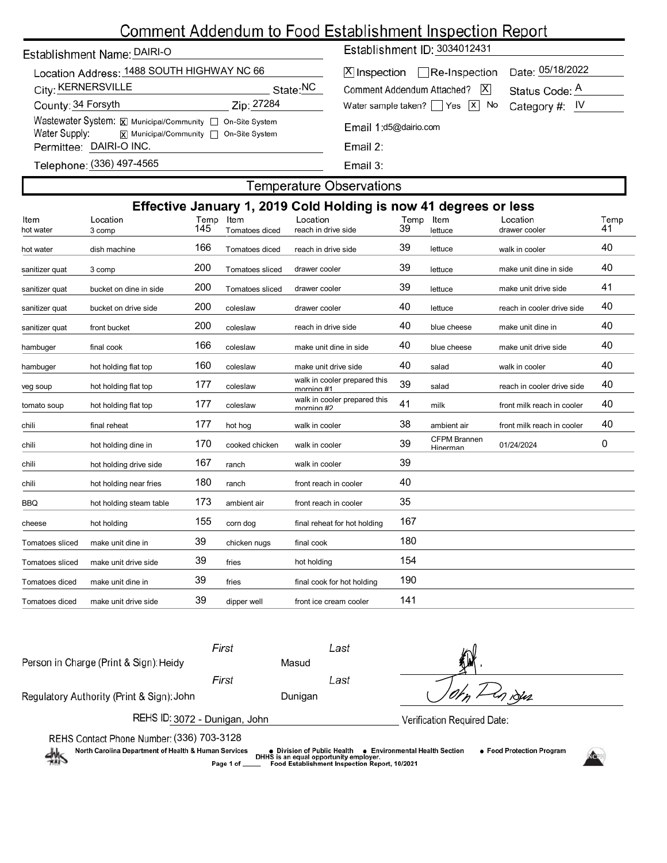# Comment Addendum to Food Establishment Inspection Report

| Establishment Name: DAIRI-O |  |
|-----------------------------|--|
|-----------------------------|--|

| Location Address: 1488 SOUTH HIGHWAY NC 66 |                                                           |                      |  |  |  |  |  |  |  |
|--------------------------------------------|-----------------------------------------------------------|----------------------|--|--|--|--|--|--|--|
| City: KERNERSVILLE                         |                                                           | State: <sup>NC</sup> |  |  |  |  |  |  |  |
| County: 34 Forsyth                         | Zip: 27284                                                |                      |  |  |  |  |  |  |  |
|                                            | Wastewater System: X Municipal/Community   On-Site System |                      |  |  |  |  |  |  |  |
| Water Supply:                              | X Municipal/Community □ On-Site System                    |                      |  |  |  |  |  |  |  |
|                                            | Permittee: DAIRI-O INC.                                   |                      |  |  |  |  |  |  |  |
|                                            | <u> 197-4565 (336) Telenhone: (336)</u>                   |                      |  |  |  |  |  |  |  |

Establishment ID: 3034012431

| X  Inspection   Re-Inspection Date: 05/18/2022          |                |
|---------------------------------------------------------|----------------|
| Comment Addendum Attached?   X                          | Status Code: A |
| Water sample taken? $\Box$ Yes $\Box$ No Category #: IV |                |
| Email 1:d5@dairio.com                                   |                |

(336) 497-4565 <u>i elebilorie</u>

Email 3:

### **Temperature Observations**

| Effective January 1, 2019 Cold Holding is now 41 degrees or less |                         |             |                        |                                            |            |                                 |                            |            |  |
|------------------------------------------------------------------|-------------------------|-------------|------------------------|--------------------------------------------|------------|---------------------------------|----------------------------|------------|--|
| Item<br>hot water                                                | Location<br>3 comp      | Temp<br>145 | Item<br>Tomatoes diced | Location<br>reach in drive side            | Temp<br>39 | Item<br>lettuce                 | Location<br>drawer cooler  | Temp<br>41 |  |
| hot water                                                        | dish machine            | 166         | Tomatoes diced         | reach in drive side                        | 39         | lettuce                         | walk in cooler             | 40         |  |
| sanitizer quat                                                   | 3 comp                  | 200         | Tomatoes sliced        | drawer cooler                              | 39         | lettuce                         | make unit dine in side     | 40         |  |
| sanitizer quat                                                   | bucket on dine in side  | 200         | Tomatoes sliced        | drawer cooler                              | 39         | lettuce                         | make unit drive side       | 41         |  |
| sanitizer quat                                                   | bucket on drive side    | 200         | coleslaw               | drawer cooler                              | 40         | lettuce                         | reach in cooler drive side | 40         |  |
| sanitizer quat                                                   | front bucket            | 200         | coleslaw               | reach in drive side                        | 40         | blue cheese                     | make unit dine in          | 40         |  |
| hambuger                                                         | final cook              | 166         | coleslaw               | make unit dine in side                     | 40         | blue cheese                     | make unit drive side       | 40         |  |
| hambuger                                                         | hot holding flat top    | 160         | coleslaw               | make unit drive side                       | 40         | salad                           | walk in cooler             | 40         |  |
| veg soup                                                         | hot holding flat top    | 177         | coleslaw               | walk in cooler prepared this<br>morning #1 | 39         | salad                           | reach in cooler drive side | 40         |  |
| tomato soup                                                      | hot holding flat top    | 177         | coleslaw               | walk in cooler prepared this<br>mornina #2 | 41         | milk                            | front milk reach in cooler | 40         |  |
| chili                                                            | final reheat            | 177         | hot hog                | walk in cooler                             | 38         | ambient air                     | front milk reach in cooler | 40         |  |
| chili                                                            | hot holding dine in     | 170         | cooked chicken         | walk in cooler                             | 39         | <b>CFPM Brannen</b><br>Hinerman | 01/24/2024                 | 0          |  |
| chili                                                            | hot holding drive side  | 167         | ranch                  | walk in cooler                             | 39         |                                 |                            |            |  |
| chili                                                            | hot holding near fries  | 180         | ranch                  | front reach in cooler                      | 40         |                                 |                            |            |  |
| <b>BBQ</b>                                                       | hot holding steam table | 173         | ambient air            | front reach in cooler                      | 35         |                                 |                            |            |  |
| cheese                                                           | hot holding             | 155         | corn dog               | final reheat for hot holding               | 167        |                                 |                            |            |  |
| Tomatoes sliced                                                  | make unit dine in       | 39          | chicken nugs           | final cook                                 | 180        |                                 |                            |            |  |
| <b>Tomatoes sliced</b>                                           | make unit drive side    | 39          | fries                  | hot holding                                | 154        |                                 |                            |            |  |
| Tomatoes diced                                                   | make unit dine in       | 39          | fries                  | final cook for hot holding                 | 190        |                                 |                            |            |  |
| Tomatoes diced                                                   | make unit drive side    | 39          | dipper well            | front ice cream cooler                     | 141        |                                 |                            |            |  |
|                                                                  |                         |             |                        |                                            |            |                                 |                            |            |  |

First Last Person in Charge (Print & Sign): Heidy Masud First Last I iSuz Regulatory Authority (Print & Sign): John Dunigan 'n REHS ID: 3072 - Dunigan, John Verification Required Date: REHS Contact Phone Number: (336) 703-3128<br>White Health Carolina Department of Health & Human Services (1988) pivision of Public Health (1989) per Morth Carolina Department of Health & Human Services (1989) per Code Establi North Carolina Department of Health & Human Services ● Food Protection Program Page 1 of